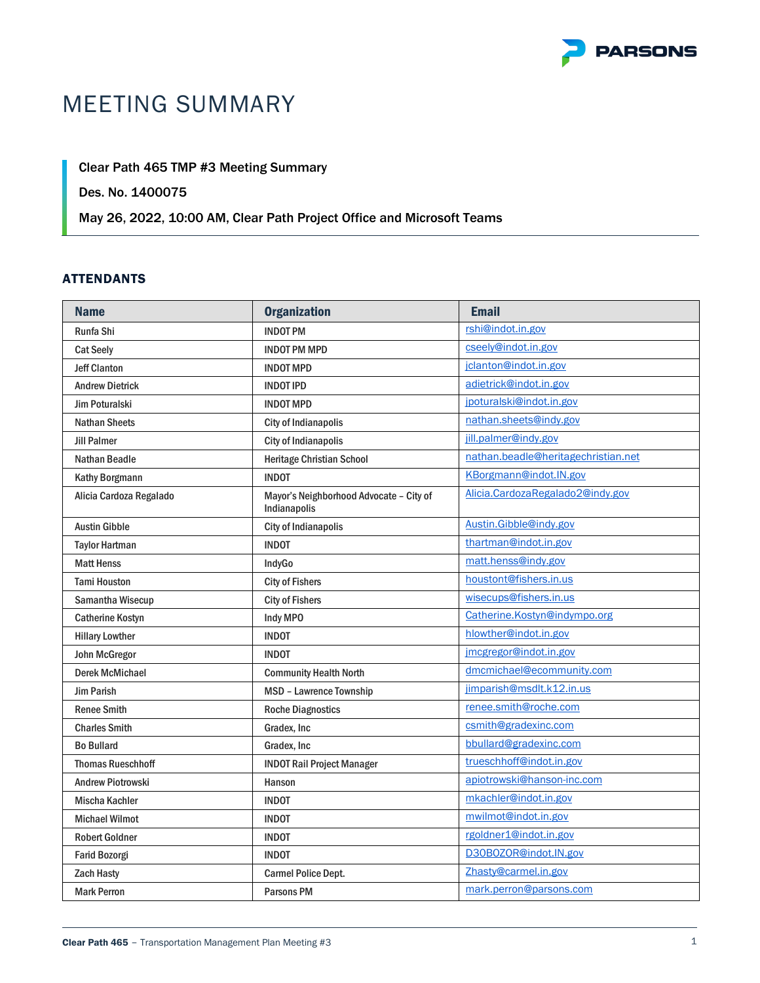

# MEETING SUMMARY

# Clear Path 465 TMP #3 Meeting Summary

# Des. No. 1400075

# May 26, 2022, 10:00 AM, Clear Path Project Office and Microsoft Teams

# ATTENDANTS

| <b>Name</b>              | <b>Organization</b>                                     | <b>Email</b>                        |
|--------------------------|---------------------------------------------------------|-------------------------------------|
| Runfa Shi                | <b>INDOT PM</b>                                         | rshi@indot.in.gov                   |
| <b>Cat Seely</b>         | <b>INDOT PM MPD</b>                                     | cseely@indot.in.gov                 |
| <b>Jeff Clanton</b>      | <b>INDOT MPD</b>                                        | jclanton@indot.in.gov               |
| <b>Andrew Dietrick</b>   | <b>INDOT IPD</b>                                        | adietrick@indot.in.gov              |
| <b>Jim Poturalski</b>    | <b>INDOT MPD</b>                                        | jpoturalski@indot.in.gov            |
| <b>Nathan Sheets</b>     | <b>City of Indianapolis</b>                             | nathan.sheets@indy.gov              |
| <b>Jill Palmer</b>       | <b>City of Indianapolis</b>                             | jill.palmer@indy.gov                |
| <b>Nathan Beadle</b>     | <b>Heritage Christian School</b>                        | nathan.beadle@heritagechristian.net |
| Kathy Borgmann           | <b>INDOT</b>                                            | KBorgmann@indot.IN.gov              |
| Alicia Cardoza Regalado  | Mayor's Neighborhood Advocate - City of<br>Indianapolis | Alicia.CardozaRegalado2@indy.gov    |
| <b>Austin Gibble</b>     | <b>City of Indianapolis</b>                             | Austin.Gibble@indy.gov              |
| <b>Taylor Hartman</b>    | <b>INDOT</b>                                            | thartman@indot.in.gov               |
| <b>Matt Henss</b>        | IndyGo                                                  | matt.henss@indy.gov                 |
| <b>Tami Houston</b>      | <b>City of Fishers</b>                                  | houstont@fishers.in.us              |
| Samantha Wisecup         | <b>City of Fishers</b>                                  | wisecups@fishers.in.us              |
| <b>Catherine Kostyn</b>  | Indy MPO                                                | Catherine.Kostyn@indympo.org        |
| <b>Hillary Lowther</b>   | <b>INDOT</b>                                            | hlowther@indot.in.gov               |
| John McGregor            | <b>INDOT</b>                                            | jmcgregor@indot.in.gov              |
| <b>Derek McMichael</b>   | <b>Community Health North</b>                           | dmcmichael@ecommunity.com           |
| <b>Jim Parish</b>        | MSD - Lawrence Township                                 | jimparish@msdlt.k12.in.us           |
| <b>Renee Smith</b>       | <b>Roche Diagnostics</b>                                | renee.smith@roche.com               |
| <b>Charles Smith</b>     | Gradex, Inc                                             | csmith@gradexinc.com                |
| <b>Bo Bullard</b>        | Gradex, Inc.                                            | bbullard@gradexinc.com              |
| <b>Thomas Rueschhoff</b> | <b>INDOT Rail Project Manager</b>                       | trueschhoff@indot.in.gov            |
| <b>Andrew Piotrowski</b> | Hanson                                                  | apiotrowski@hanson-inc.com          |
| <b>Mischa Kachler</b>    | <b>INDOT</b>                                            | mkachler@indot.in.gov               |
| <b>Michael Wilmot</b>    | <b>INDOT</b>                                            | mwilmot@indot.in.gov                |
| <b>Robert Goldner</b>    | <b>INDOT</b>                                            | rgoldner1@indot.in.gov              |
| <b>Farid Bozorgi</b>     | <b>INDOT</b>                                            | D30B0Z0R@indot.IN.gov               |
| <b>Zach Hasty</b>        | <b>Carmel Police Dept.</b>                              | Zhasty@carmel.in.gov                |
| <b>Mark Perron</b>       | <b>Parsons PM</b>                                       | mark.perron@parsons.com             |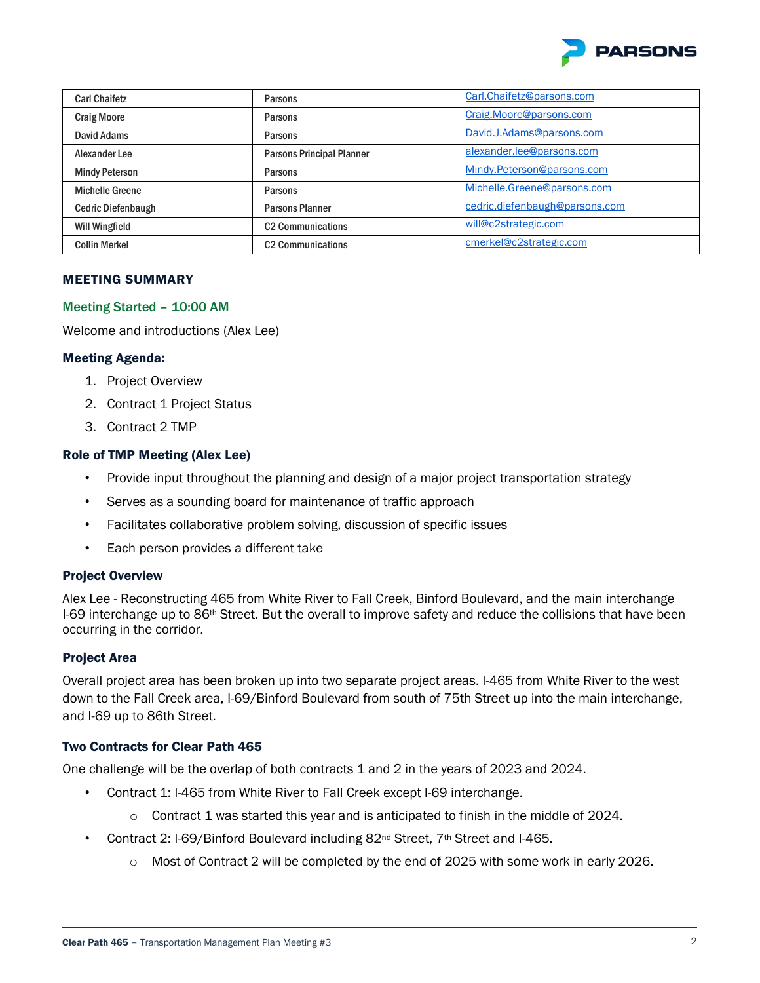

| <b>Carl Chaifetz</b>      | Parsons                          | Carl.Chaifetz@parsons.com      |
|---------------------------|----------------------------------|--------------------------------|
| <b>Craig Moore</b>        | Parsons                          | Craig.Moore@parsons.com        |
| David Adams               | <b>Parsons</b>                   | David.J.Adams@parsons.com      |
| Alexander Lee             | <b>Parsons Principal Planner</b> | alexander.lee@parsons.com      |
| <b>Mindy Peterson</b>     | Parsons                          | Mindy.Peterson@parsons.com     |
| <b>Michelle Greene</b>    | <b>Parsons</b>                   | Michelle.Greene@parsons.com    |
| <b>Cedric Diefenbaugh</b> | <b>Parsons Planner</b>           | cedric.diefenbaugh@parsons.com |
| Will Wingfield            | <b>C2 Communications</b>         | will@c2strategic.com           |
| <b>Collin Merkel</b>      | <b>C2 Communications</b>         | cmerkel@c2strategic.com        |

#### MEETING SUMMARY

#### Meeting Started – 10:00 AM

Welcome and introductions (Alex Lee)

#### Meeting Agenda:

- 1. Project Overview
- 2. Contract 1 Project Status
- 3. Contract 2 TMP

#### Role of TMP Meeting (Alex Lee)

- Provide input throughout the planning and design of a major project transportation strategy
- Serves as a sounding board for maintenance of traffic approach
- Facilitates collaborative problem solving, discussion of specific issues
- Each person provides a different take

#### Project Overview

Alex Lee - Reconstructing 465 from White River to Fall Creek, Binford Boulevard, and the main interchange I-69 interchange up to 86<sup>th</sup> Street. But the overall to improve safety and reduce the collisions that have been occurring in the corridor.

# Project Area

Overall project area has been broken up into two separate project areas. I-465 from White River to the west down to the Fall Creek area, I-69/Binford Boulevard from south of 75th Street up into the main interchange, and I-69 up to 86th Street.

# Two Contracts for Clear Path 465

One challenge will be the overlap of both contracts 1 and 2 in the years of 2023 and 2024.

- Contract 1: I-465 from White River to Fall Creek except I-69 interchange.
	- $\circ$  Contract 1 was started this year and is anticipated to finish in the middle of 2024.
- Contract 2: I-69/Binford Boulevard including 82nd Street, 7th Street and I-465.
	- $\circ$  Most of Contract 2 will be completed by the end of 2025 with some work in early 2026.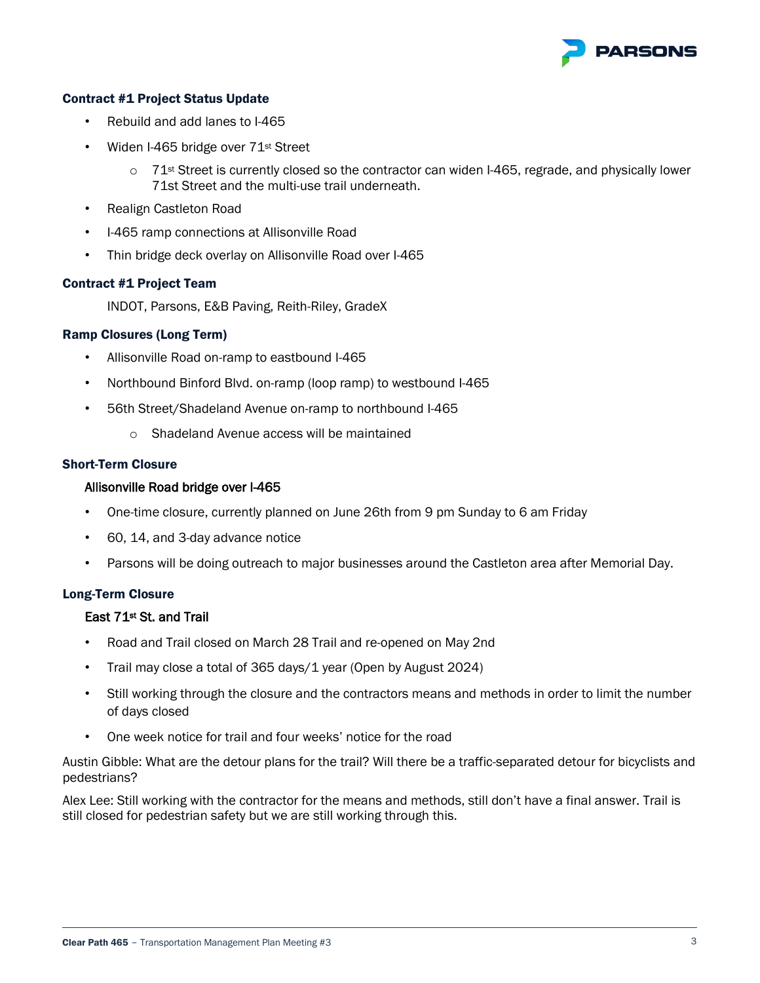

#### Contract #1 Project Status Update

- Rebuild and add lanes to I-465
- Widen I-465 bridge over 71st Street
	- $\circ$  71<sup>st</sup> Street is currently closed so the contractor can widen I-465, regrade, and physically lower 71st Street and the multi-use trail underneath.
- Realign Castleton Road
- I-465 ramp connections at Allisonville Road
- Thin bridge deck overlay on Allisonville Road over I-465

#### Contract #1 Project Team

INDOT, Parsons, E&B Paving, Reith-Riley, GradeX

#### Ramp Closures (Long Term)

- Allisonville Road on-ramp to eastbound I-465
- Northbound Binford Blvd. on-ramp (loop ramp) to westbound I-465
- 56th Street/Shadeland Avenue on-ramp to northbound I-465
	- o Shadeland Avenue access will be maintained

#### Short-Term Closure

#### Allisonville Road bridge over I-465

- One-time closure, currently planned on June 26th from 9 pm Sunday to 6 am Friday
- 60, 14, and 3-day advance notice
- Parsons will be doing outreach to major businesses around the Castleton area after Memorial Day.

#### Long-Term Closure

# East 71st St. and Trail

- Road and Trail closed on March 28 Trail and re-opened on May 2nd
- Trail may close a total of 365 days/1 year (Open by August 2024)
- Still working through the closure and the contractors means and methods in order to limit the number of days closed
- One week notice for trail and four weeks' notice for the road

Austin Gibble: What are the detour plans for the trail? Will there be a traffic-separated detour for bicyclists and pedestrians?

Alex Lee: Still working with the contractor for the means and methods, still don't have a final answer. Trail is still closed for pedestrian safety but we are still working through this.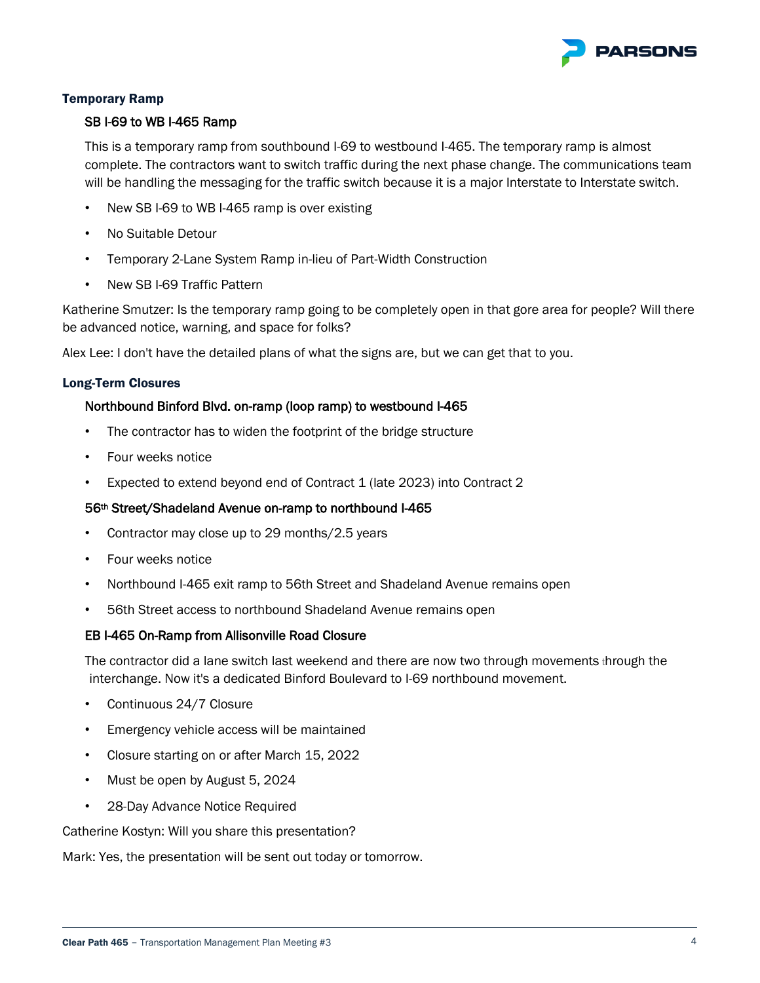

# Temporary Ramp

#### SB I-69 to WB I-465 Ramp

This is a temporary ramp from southbound I-69 to westbound I-465. The temporary ramp is almost complete. The contractors want to switch traffic during the next phase change. The communications team will be handling the messaging for the traffic switch because it is a major Interstate to Interstate switch.

- New SB I-69 to WB I-465 ramp is over existing
- No Suitable Detour
- Temporary 2-Lane System Ramp in-lieu of Part-Width Construction
- New SB I-69 Traffic Pattern

Katherine Smutzer: Is the temporary ramp going to be completely open in that gore area for people? Will there be advanced notice, warning, and space for folks?

Alex Lee: I don't have the detailed plans of what the signs are, but we can get that to you.

#### Long-Term Closures

#### Northbound Binford Blvd. on-ramp (loop ramp) to westbound I-465

- The contractor has to widen the footprint of the bridge structure
- Four weeks notice
- Expected to extend beyond end of Contract 1 (late 2023) into Contract 2

#### 56th Street/Shadeland Avenue on-ramp to northbound I-465

- Contractor may close up to 29 months/2.5 years
- Four weeks notice
- Northbound I-465 exit ramp to 56th Street and Shadeland Avenue remains open
- 56th Street access to northbound Shadeland Avenue remains open

#### EB I-465 On-Ramp from Allisonville Road Closure

The contractor did a lane switch last weekend and there are now two through movements through the interchange. Now it's a dedicated Binford Boulevard to I-69 northbound movement.

- Continuous 24/7 Closure
- Emergency vehicle access will be maintained
- Closure starting on or after March 15, 2022
- Must be open by August 5, 2024
- 28-Day Advance Notice Required

Catherine Kostyn: Will you share this presentation?

Mark: Yes, the presentation will be sent out today or tomorrow.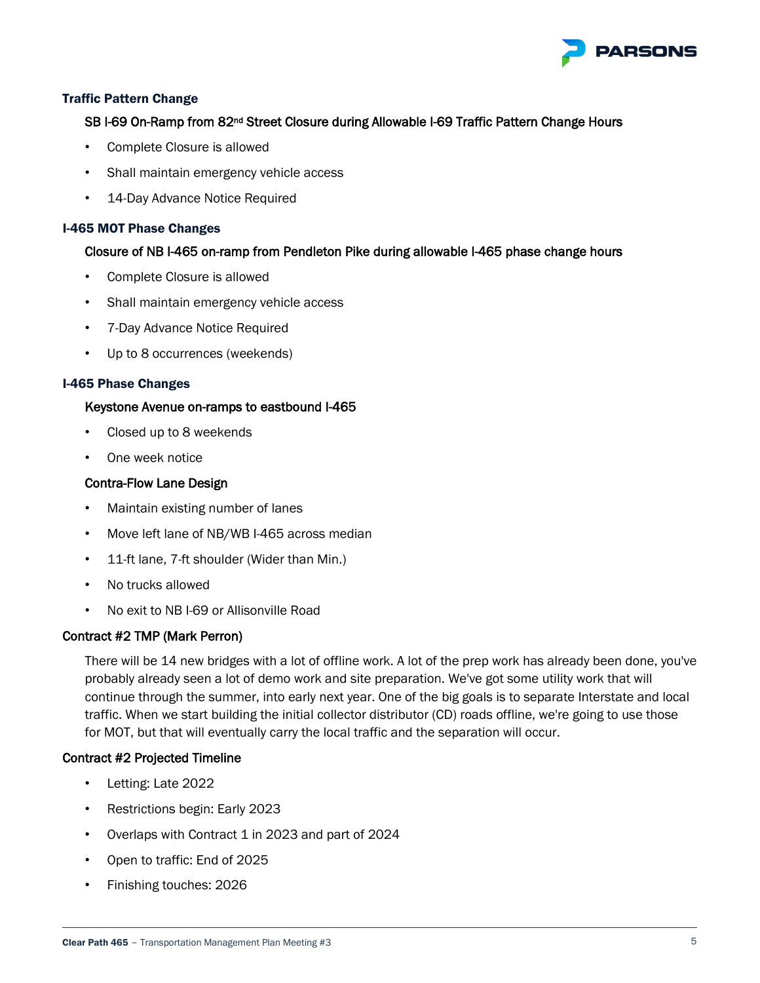

# Traffic Pattern Change

# SB I-69 On-Ramp from 82<sup>nd</sup> Street Closure during Allowable I-69 Traffic Pattern Change Hours

- Complete Closure is allowed
- Shall maintain emergency vehicle access
- 14-Day Advance Notice Required

# I-465 MOT Phase Changes

# Closure of NB I-465 on-ramp from Pendleton Pike during allowable I-465 phase change hours

- Complete Closure is allowed
- Shall maintain emergency vehicle access
- 7-Day Advance Notice Required
- Up to 8 occurrences (weekends)

# I-465 Phase Changes

# Keystone Avenue on-ramps to eastbound I-465

- Closed up to 8 weekends
- One week notice

# Contra-Flow Lane Design

- Maintain existing number of lanes
- Move left lane of NB/WB I-465 across median
- 11-ft lane, 7-ft shoulder (Wider than Min.)
- No trucks allowed
- No exit to NB I-69 or Allisonville Road

# Contract #2 TMP (Mark Perron)

There will be 14 new bridges with a lot of offline work. A lot of the prep work has already been done, you've probably already seen a lot of demo work and site preparation. We've got some utility work that will continue through the summer, into early next year. One of the big goals is to separate Interstate and local traffic. When we start building the initial collector distributor (CD) roads offline, we're going to use those for MOT, but that will eventually carry the local traffic and the separation will occur.

# Contract #2 Projected Timeline

- Letting: Late 2022
- Restrictions begin: Early 2023
- Overlaps with Contract 1 in 2023 and part of 2024
- Open to traffic: End of 2025
- Finishing touches: 2026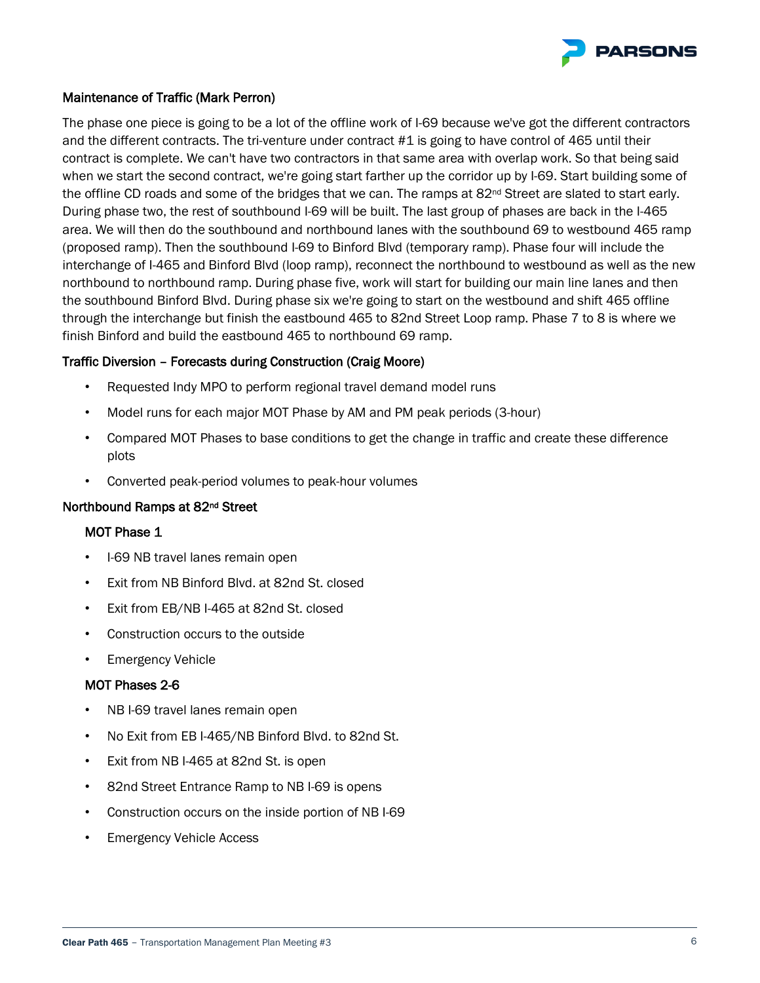

# Maintenance of Traffic (Mark Perron)

The phase one piece is going to be a lot of the offline work of I-69 because we've got the different contractors and the different contracts. The tri-venture under contract #1 is going to have control of 465 until their contract is complete. We can't have two contractors in that same area with overlap work. So that being said when we start the second contract, we're going start farther up the corridor up by I-69. Start building some of the offline CD roads and some of the bridges that we can. The ramps at 82<sup>nd</sup> Street are slated to start early. During phase two, the rest of southbound I-69 will be built. The last group of phases are back in the I-465 area. We will then do the southbound and northbound lanes with the southbound 69 to westbound 465 ramp (proposed ramp). Then the southbound I-69 to Binford Blvd (temporary ramp). Phase four will include the interchange of I-465 and Binford Blvd (loop ramp), reconnect the northbound to westbound as well as the new northbound to northbound ramp. During phase five, work will start for building our main line lanes and then the southbound Binford Blvd. During phase six we're going to start on the westbound and shift 465 offline through the interchange but finish the eastbound 465 to 82nd Street Loop ramp. Phase 7 to 8 is where we finish Binford and build the eastbound 465 to northbound 69 ramp.

# Traffic Diversion – Forecasts during Construction (Craig Moore)

- Requested Indy MPO to perform regional travel demand model runs
- Model runs for each major MOT Phase by AM and PM peak periods (3-hour)
- Compared MOT Phases to base conditions to get the change in traffic and create these difference plots
- Converted peak-period volumes to peak-hour volumes

# Northbound Ramps at 82nd Street

# MOT Phase 1

- I-69 NB travel lanes remain open
- Exit from NB Binford Blvd. at 82nd St. closed
- Exit from EB/NB I-465 at 82nd St. closed
- Construction occurs to the outside
- **Emergency Vehicle**

# MOT Phases 2-6

- NB I-69 travel lanes remain open
- No Exit from EB I-465/NB Binford Blvd. to 82nd St.
- Exit from NB I-465 at 82nd St. is open
- 82nd Street Entrance Ramp to NB I-69 is opens
- Construction occurs on the inside portion of NB I-69
- **Emergency Vehicle Access**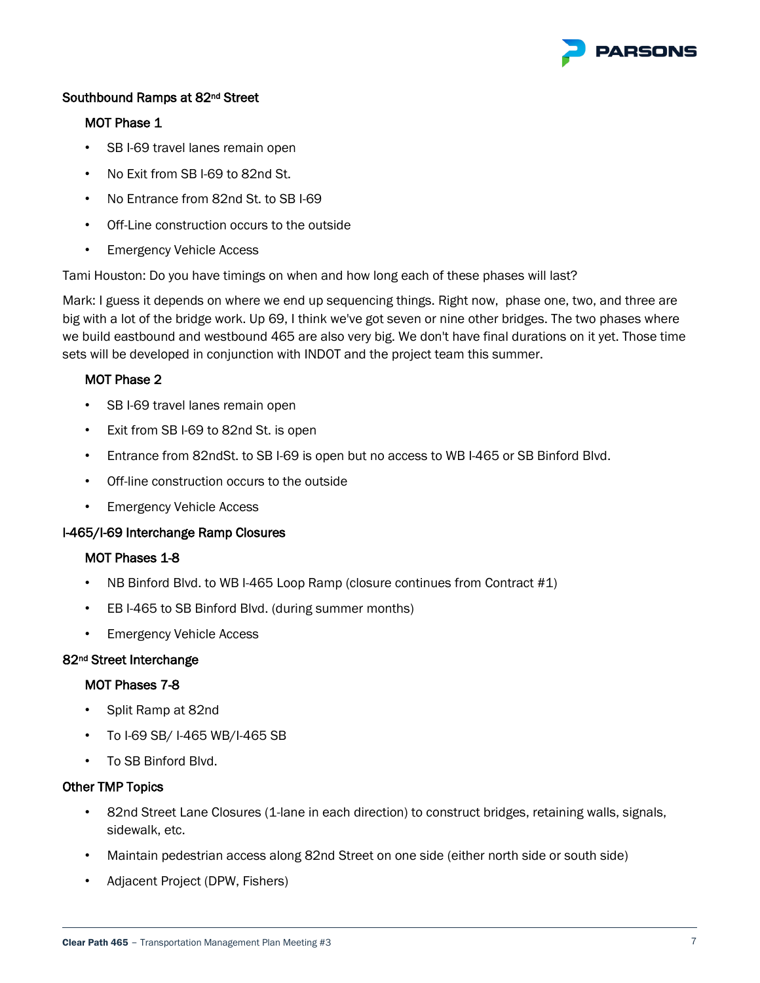

# Southbound Ramps at 82nd Street

# MOT Phase 1

- SB I-69 travel lanes remain open
- No Exit from SB I-69 to 82nd St.
- No Entrance from 82nd St. to SB I-69
- Off-Line construction occurs to the outside
- Emergency Vehicle Access

Tami Houston: Do you have timings on when and how long each of these phases will last?

Mark: I guess it depends on where we end up sequencing things. Right now, phase one, two, and three are big with a lot of the bridge work. Up 69, I think we've got seven or nine other bridges. The two phases where we build eastbound and westbound 465 are also very big. We don't have final durations on it yet. Those time sets will be developed in conjunction with INDOT and the project team this summer.

# MOT Phase 2

- SB I-69 travel lanes remain open
- Exit from SB I-69 to 82nd St. is open
- Entrance from 82ndSt. to SB I-69 is open but no access to WB I-465 or SB Binford Blvd.
- Off-line construction occurs to the outside
- Emergency Vehicle Access

# I-465/I-69 Interchange Ramp Closures

# MOT Phases 1-8

- NB Binford Blvd. to WB I-465 Loop Ramp (closure continues from Contract #1)
- EB I-465 to SB Binford Blvd. (during summer months)
- Emergency Vehicle Access

# 82nd Street Interchange

# MOT Phases 7-8

- Split Ramp at 82nd
- To I-69 SB/ I-465 WB/I-465 SB
- To SB Binford Blvd.

# Other TMP Topics

- 82nd Street Lane Closures (1-lane in each direction) to construct bridges, retaining walls, signals, sidewalk, etc.
- Maintain pedestrian access along 82nd Street on one side (either north side or south side)
- Adjacent Project (DPW, Fishers)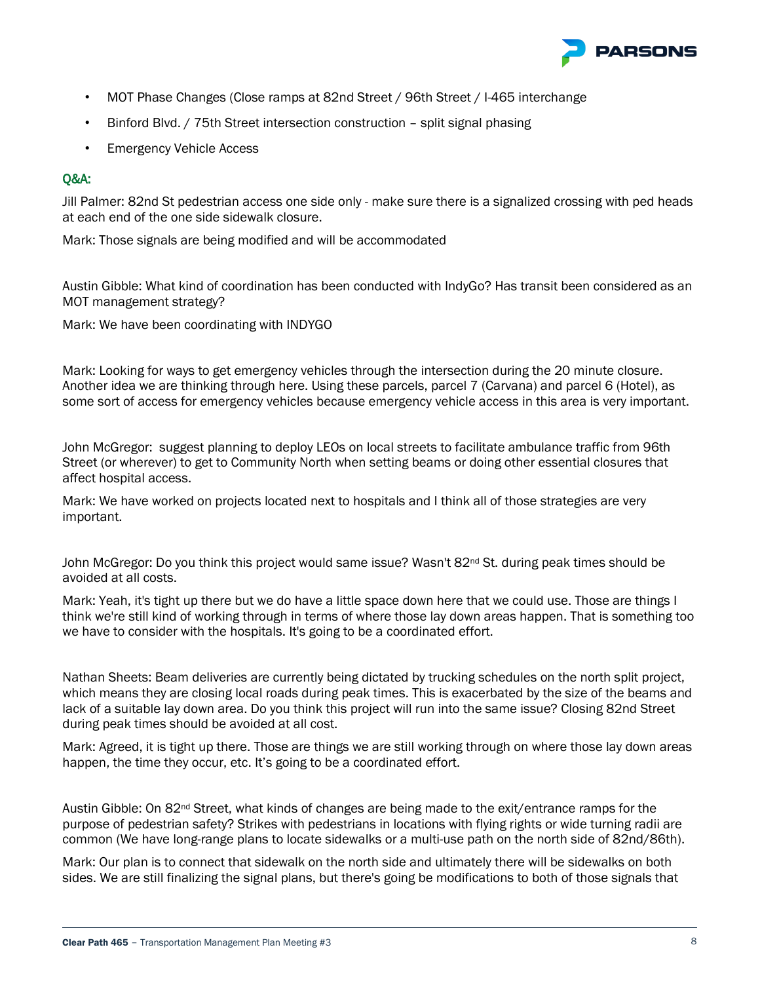

- MOT Phase Changes (Close ramps at 82nd Street / 96th Street / I-465 interchange
- Binford Blvd. / 75th Street intersection construction split signal phasing
- Emergency Vehicle Access

# Q&A:

Jill Palmer: 82nd St pedestrian access one side only - make sure there is a signalized crossing with ped heads at each end of the one side sidewalk closure.

Mark: Those signals are being modified and will be accommodated

Austin Gibble: What kind of coordination has been conducted with IndyGo? Has transit been considered as an MOT management strategy?

Mark: We have been coordinating with INDYGO

Mark: Looking for ways to get emergency vehicles through the intersection during the 20 minute closure. Another idea we are thinking through here. Using these parcels, parcel 7 (Carvana) and parcel 6 (Hotel), as some sort of access for emergency vehicles because emergency vehicle access in this area is very important.

John McGregor: suggest planning to deploy LEOs on local streets to facilitate ambulance traffic from 96th Street (or wherever) to get to Community North when setting beams or doing other essential closures that affect hospital access.

Mark: We have worked on projects located next to hospitals and I think all of those strategies are very important.

John McGregor: Do you think this project would same issue? Wasn't 82<sup>nd</sup> St. during peak times should be avoided at all costs.

Mark: Yeah, it's tight up there but we do have a little space down here that we could use. Those are things I think we're still kind of working through in terms of where those lay down areas happen. That is something too we have to consider with the hospitals. It's going to be a coordinated effort.

Nathan Sheets: Beam deliveries are currently being dictated by trucking schedules on the north split project, which means they are closing local roads during peak times. This is exacerbated by the size of the beams and lack of a suitable lay down area. Do you think this project will run into the same issue? Closing 82nd Street during peak times should be avoided at all cost.

Mark: Agreed, it is tight up there. Those are things we are still working through on where those lay down areas happen, the time they occur, etc. It's going to be a coordinated effort.

Austin Gibble: On 82nd Street, what kinds of changes are being made to the exit/entrance ramps for the purpose of pedestrian safety? Strikes with pedestrians in locations with flying rights or wide turning radii are common (We have long-range plans to locate sidewalks or a multi-use path on the north side of 82nd/86th).

Mark: Our plan is to connect that sidewalk on the north side and ultimately there will be sidewalks on both sides. We are still finalizing the signal plans, but there's going be modifications to both of those signals that